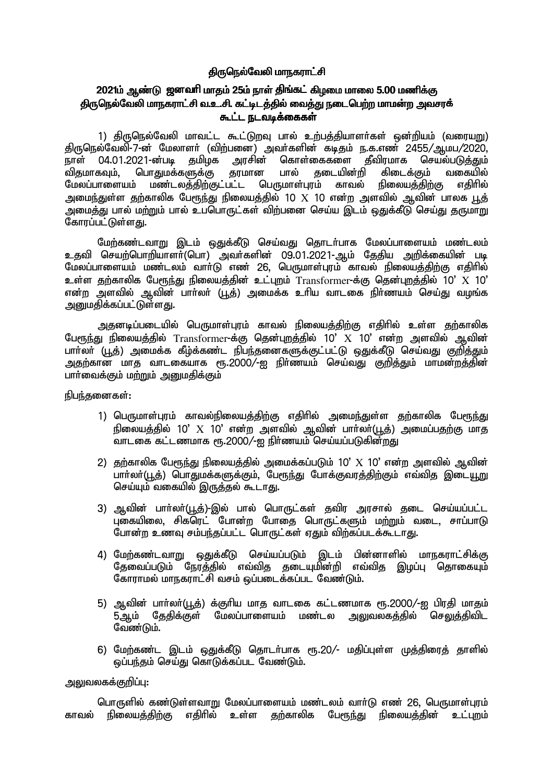## திருநெல்வேலி மாநகராட்சி

# 2021ம் ஆண்டு ஜனவரி மாதம் 25ம் நாள் திங்கட் கிழமை மாலை 5.00 மணிக்கு திருநெல்வேலி மாநகராட்சி வ.உ.சி. கட்டிடத்தில் வைத்து நடைபெற்ற மாமன்ற அவசரக் கூட்ட நடவடிக்கைகள்

1) திருநெல்வேலி மாவட்ட கூட்டுறவு பால் உற்பத்தியாளர்கள் ஒன்றியம் (வரையறு) திருநெல்வேலி-7-ன் மேலாளர் (விற்பனை) அவர்களின் கடிதம் ந.க.எண் 2455/ஆமப/2020. நாள் 04.01.2021-ன்படி தமிழக அரசின் கொள்கைகளை தீவிரமாக செயல்படுத்தும் பொதுமக்களுக்கு தரமான பால் கடையின்றி விகமாகவம். கிடைக்கும் வகையில் மேலப்பாளையம் மண்டலத்திற்குட்பட்ட பெருமாள்பாம் காவல் நிலையக்கிற்கு எகிரில் அமைந்துள்ள தற்காலிக பேரூந்து நிலையத்தில் 10  $\rm X$  10 என்ற அளவில் ஆவின் பாலக பூத் ு.<br>அமைத்து பால் மற்றும் பால் உப்பொருட்கள் விற்பனை செய்ய இடம் ஒதுக்கீடு செய்து தருமாறு கோரப்பட்டுள்ளது.

மேற்கண்டவாறு இடம் ஒதுக்கீடு செய்வது தொடர்பாக மேலப்பாளையம் மண்டலம் உதவி செயற்பொறியாளா்(பொ) அவா்களின் 09.01.2021-ஆம் தேதிய அறிக்கையின் படி<br>மேலப்பாளையம் மண்டலம் வாா்டு எண் 26, பெருமாள்புரம் காவல் நிலையத்திற்கு எதிாில் உள்ள குற்காலிக பேரூந்து நிலையத்தின் உட்புறம் Transformer-க்கு தென்புறத்தில் 10' X 10' என்ற அளவில் ஆவின் பார்லர் (பூத்) அமைக்க உரிய வாடகை நிர்ணயம் செய்து வமங்க அறையதிக்கப்பட்டுள்ளது.

அதனடிப்படையில் பெருமாள்புரம் காவல் நிலையத்திற்கு எதிரில் உள்ள தற்காலிக பேரூந்து நிலையத்தில் Transformer-க்கு தென்புறத்தில் 10'  $X$  10' என்ற அளவில் ஆவின் அதற்கான மாத வாடகையாக ரூ.2000/-ஐ நிர்ணயம் செய்வது குறித்தும் மாமன்றத்தின் பார்வைக்கும் மற்றும் அறுமகிக்கும்

நிபந்தனைகள்:

- 1) பெருமாள்புரம் காவல்நிலையத்திற்கு எதிரில் அமைந்துள்ள தற்காலிக பேரூந்து நிலையத்தில் 10'  $X$  10' என்ற அளவில் ஆவின் பாா்லா்(பூத்) அமைப்பதற்கு மாத .<br>வாடகை கட்டணமாக ரூ.2000/-ஐ நிர்ணயம் செய்யப்படுகின்றது
- 2) தற்காலிக பேரூந்து நிலையத்தில் அமைக்கப்படும் 10'  $X$  10' என்ற அளவில் ஆவின் பார்லா்(பூக்) பொதுமக்களுக்கும். பேரூந்து போக்குவரக்கிற்கும் எவ்வித இடையூறு செய்யும் வகையில் இருத்தல் கூடாது.
- 3) ஆவின் பார்லர்(பூத்)-இல் பால் பொருட்கள் தவிர அரசால் தடை செய்யப்பட்ட புகையிலை, சிகரெட் போன்ற போதை பொருட்களும் மற்றும் வடை, சாப்பாடு போன்ற உணவு சம்பந்தப்பட்ட பொருட்கள் ஏதும் விற்கப்படக்கூடாது.
- 4) மேற்கண்டவாறு ஒதுக்கீடு செய்யப்படும் இடம் பின்னாளில் மாநகராட்சிக்கு தேவைப்படும் நேர்த்தில் எவ்வித தடையுமின்றி எவ்வித இழப்பு தொகையும் கோராமல் மாநகராட்சி வசம் ஒப்படைக்கப்பட வேண்டும்.
- 5) ஆவின் பார்லர்(பூத்) க்குரிய மாத வாடகை கட்டணமாக ரூ.2000/-ஐ பிரதி மாதம் .<br>5 ஆம் தேகிக்குள் மேலப்பாளையம் மண்டல அலுவலகக்கில் செலுக்கிவிட வேண்டும்.
- 6) மேற்கண்ட இடம் ஒதுக்கீடு தொடர்பாக ரூ.20/- மதிப்புள்ள முத்திரைத் தாளில் ஒப்பந்தம் செய்து கொடுக்கப்பட வேண்டும்.

### அலுவலகக்குறிப்பு:

பொருளில் கண்டுள்ளவாறு மேலப்பாளையம் மண்டலம் வார்டு எண் 26, பெருமாள்புரம் நிலையத்திற்கு எதிரில் உள்ள தற்காலிக பேரூந்து நிலையத்தின் உட்புறம் காவல்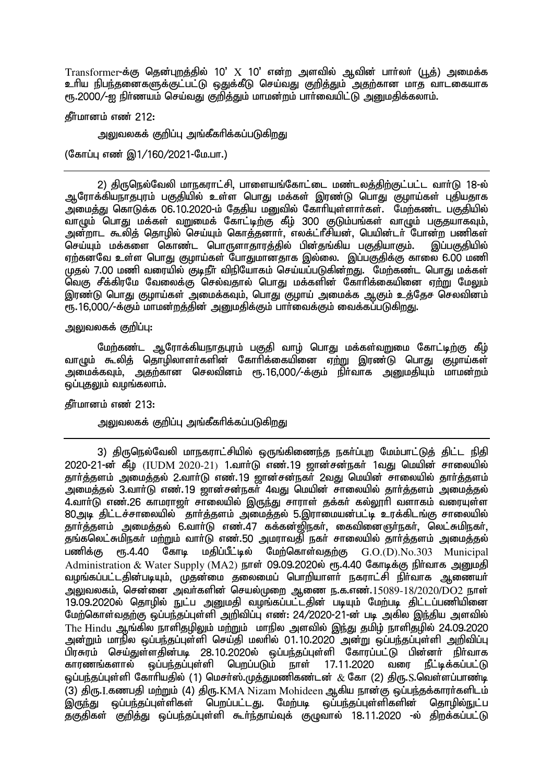Transformer-க்கு தென்புறத்தில் 10'  $X$  10' என்ற அளவில் ஆவின் பார்லர் (பூத்) அமைக்க உரிய நிபந்தனைகளுக்குட்பட்டு ஒதுக்கீடு செய்வது குறித்தும் அதற்கான மாத வாடகையாக ரூ.2000/-ஐ நிர்ணயம் செய்வது குறித்தும் மாமன்றம் பார்வையிட்டு அனுமதிக்கலாம்.

தீர்மானம் எண் $212$ :

அலுவலகக் குறிப்பு அங்கீகரிக்கப்படுகிறது

(கோப்பு எண் இ1/160/2021-மே.பா.)

2) திருநெல்வேலி மாநகராட்சி, பாளையங்கோட்டை மண்டலத்திற்குட்பட்ட வார்டு 18-ல் ஆரோக்கியநாதபுரம் பகுதியில் உள்ள பொது மக்கள் இரண்டு பொது குழாய்கள் புதியதாக ு,<br>அமைத்து கொடுக்க 06.10.2020-ம் தேதிய மனுவில் கோரியுள்ளார்கள். மேற்கண்ட பகுதியில் ு.<br>வாமும் பொது மக்கள் வறுமைக் கோட்டிற்கு கீழ் 300 குடும்பங்கள் வாழும் பகுதயாகவும். அன்றாட கூலித் தொழில் செய்யும் கொத்தனார், எலக்ட்ரீசியன், பெயின்டர் போன்ற பணிகள் செய்யும் மக்களை கொண்ட பொருளாதாரத்தில் பின்தங்கிய பகுதியாகும். இப்பகுதியில் ஏற்கனவே உள்ள பொது குழாய்கள் போதுமானதாக இல்லை. இப்பகுதிக்கு காலை 6.00 மணி முதல் 7.00 மணி வரையில் குடிநீர் விநியோகம் செய்யப்படுகின்றது. மேற்கண்ட பொது மக்கள் ்<br>வெகு சீக்கிரமே வேலைக்கு செல்வதால் பொது மக்களின் கோரிக்கையினை ஏ<u>ற்று</u> மேலும் <u>ொண்டு பொகு குமாய்கள் அமைக்கவம். பொகு குமாய் அமைக்க அகும் உக்கேச செலவினம் </u>  $\overline{r}$ ந. 16,000/-க்கும் மாமன்றத்தின் அனுமதிக்கும் பார்வைக்கும் வைக்கப்படுகிறது.

அலுவலகக் குறிப்பு:

மேற்கண்ட ஆரோக்கியநாதபுரம் பகுதி வாழ் பொது மக்கள்வறுமை கோட்டிற்கு கீழ் வாமும் கூலித் தொழிலாளர்களின் கோரிக்கையினை ஏற்று இரண்டு பொது குழாய்கள் அமைக்கவும், அதற்கான செலவினம் ரூ.16,000/-க்கும் நிர்வாக அறுமதியும் மாமன்றம் ஒப்புதலும் வழங்கலாம்.

கீர்மானம் எண் $213:$ 

<u>அலு</u>வலகக் குறிப்பு அங்கீகரிக்கப்படுகிறது

3) திருநெல்வேலி மாநகராட்சியில் ஒருங்கிணைந்த நகர்ப்புற மேம்பாட்டுத் கிட்ட நிகி  $2020$ -21-ன் கீழ் (IUDM 2020-21) 1.வார்டு எண்.19 றான்சன்நகர் 1வது மெயின் சாலையில் கார்த்தளம் அமைத்தல் 2.வார்டு எண்.19 ஜான்சன்நகர் 2வது மெயின் சாலையில் தார்த்தளம் அமைத்தல் 3.வாா்டு எண்.19 ஜான்சன்நகா் 4வது மெயின் சாலையில் தாா்த்தளம் அமைத்தல் 4.வார்டு எண்.26 காமராஜர் சாலையில் இருந்து சாராள் தக்கர் கல்லூரி வளாகம் வரையுள்ள 80 அடி கிட்டச்சாலையில் ருகார்க்களம் அமைக்கல் 5.இாாமையன்பட்டி உாக்கிடங்கு சாலையில் தார்த்தளம் அமைத்தல் 6.வார்டு எண்.47 கக்கன்ஜிநகர், கைவினைஞர்நகர், லெட்சுமிநகர், .<br>தங்கலெட்சுமிநகர் மற்றும் வார்டு எண்.50 அமராவதி நகர் சாலையில் தார்த்தளம் அமைத்தல்<br>பணிக்கு ளூ.4.40 கோடி மகிப்பீட்டில் மேற்கொள்வகற்கு G.O.(D).No.303 Municipal  $m<sub>5</sub>$ .4.40 கோடி மதிப்பீட்டில் மேற்கொள்வதற்கு  $G.O.(D)$ . $No.303$  Municipal Administration & Water Supply (MA2)  $\overline{B}$ ராள் 09.09.2020ல் ரூ.4.40 கோடிக்கு நிர்வாக அனுமதி வழங்கப்பட்டதின்படியும், முதன்மை தலைமைப் பொறியாளா் நகராட்சி நிா்வாக ஆணையா் ் அலுவலகம், சென்னை அவர்களின் செயல்முறை ஆணை ந.க.எண். $15089-18/2020/\overline{\mathrm{DO2}}$  நாள் 19.09.2020ல் தொழில் நுட்ப அனுமதி வழங்கப்பட்டதின் படியும் மேற்படி திட்டப்பணியினை மேற்கொள்வதற்கு ஒப்பந்தப்புள்ளி அறிவிப்பு எண்: 24/2020-21-ன் படி அகில இந்திய அளவில் The Hindu ஆங்கில நாளிதழிலும் மற்றும் மாநில அளவில் இந்து தமிழ் நாளிதழில் 24.09.2020 அன்றும் மாநில ஒப்பந்தப்புள்ளி செய்தி மலரில் 01.10.2020 அன்று ஒப்பந்தப்புள்ளி அறிவிப்பு பிரசுரம் செய்துள்ளதின்படி 28.10.2020ல் ஒப்பந்தப்புள்ளி கோரப்பட்டு பின்னர் நிர்வாக காரணங்களால் ஒப்பந்தப்புள்ளி பெறப்படும் நாள் 17.11.2020 வரை நீட்டிக்கப்பட்டு ஒப்பந்தப்புள்ளி கோரியதில் (1) மெசர்ஸ்.முத்துமணிகண்டன்  $\,\&$  கோ (2) திரு.S.வெள்ளப்பாண்டி .<br>(3) திரு.I.கணபதி மற்றும் (4) திரு.KMA Nizam Mohideen ஆகிய நான்கு ஒப்பந்தக்காரா்களிடம்<br>இருந்து - ஒப்பந்தப்புள்ளிகள் - பெறப்பட்டது. - மேற்படி - ஒப்பந்தப்புள்ளிகளின் - தொழில்நுட்ப இருந்து ஒப்பந்தப்புள்ளிகள் பெறப்பட்டது. மேற்படி ஒப்பந்தப்புள்ளிகளின் தகுதிகள் குறித்து ஒப்பந்தப்புள்ளி கூர்ந்தாய்வுக் குழுவால் 18.11.2020 -ல் திறக்கப்பட்டு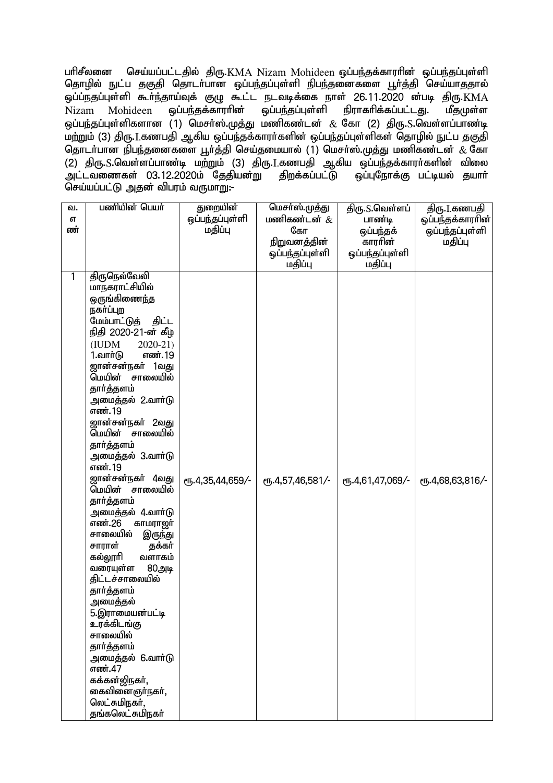பரிசீலனை செய்யப்பட்டதில் திரு.KMA Nizam Mohideen ஒப்பந்தக்காரரின் ஒப்பந்தப்புள்ளி <u>தொழில் நு</u>ட்ப தகுதி தொடா்பான ஒப்பந்தப்புள்ளி நிபந்தனைகளை பூா்த்தி செய்யாததால் ஒப்ப்நதப்புள்ளி கூா்ந்தாய்வுக் குழு கூட்ட நடவடிக்கை நாள் 26.11.2020 <mark>ன்படி திரு.KMA</mark><br>Nizam Mohideen ஒப்பந்தக்காராின் ஒப்பந்தப்புள்ளி நிராகாிக்கப்பட்டது. மீதமுள்ள Nizam Mohideen ஒப்பந்தக்காரரின் ஒப்பந்தப்புள்ளி நிராகரிக்கப்பட்டது. மீதமுள்ள ஒப்பந்தப்புள்ளிகளான  $\v(1)$  மெசா்ஸ்.முத்து மணிகண்டன்  $\&$  கோ (2) திரு.S.வெள்ளப்பாண்டி மற்றும் (3) திரு.I.கணபதி ஆகிய ஒப்பந்தக்காரா்களின் ஒப்பந்தப்புள்ளிகள் தொழில் நுட்ப தகுதி தொடர்பான நிபந்தனைகளை பூர்த்தி செய்தமையால் (1) மெசர்ஸ்.முத்து மணிகண்டன்  $\&$  கோ ் திரு. S.வெள்ளப்பாண்டி மற்றும் (3) திரு. I.கணபதி ஆகிய ஒப்பந்தக்காரா்களின் விலை ்அட்டவணைகள் 03.12.2020ம் தேதியன்று திறக்கப்பட்டு ஒப்புநோக்கு பட்டியல் தயார் செய்யப்பட்டு அதன் விபரம் வருமாறு:-

| வ. | பணியின் பெயர்                          | துறையின்         | மெசா்ஸ்.முத்து   | திரு S.வெள்ளப்   | திரு. <u>[</u> ,கணபதி |
|----|----------------------------------------|------------------|------------------|------------------|-----------------------|
| எ  |                                        | ஒப்பந்தப்புள்ளி  | மணிகண்டன் $\&$   | பாண்டி           | ஒப்பந்தக்காராின்      |
| ண் |                                        | மதிப்பு          | கோ               | ஒப்பந்தக்        | ஒப்பந்தப்புள்ளி       |
|    |                                        |                  | நிறுவனத்தின்     | காரரின்          | மதிப்பு               |
|    |                                        |                  | ஒப்பந்தப்புள்ளி  | ஒப்பந்தப்புள்ளி  |                       |
|    |                                        |                  | மதிப்பு          | மதிப்பு          |                       |
| 1  | திருநெல்வேலி                           |                  |                  |                  |                       |
|    | மாநகராட்சியில்                         |                  |                  |                  |                       |
|    | <u>ஒருங்கிணைந்த</u>                    |                  |                  |                  |                       |
|    | நகர்ப்புற                              |                  |                  |                  |                       |
|    | மேம்பாட்டுத் திட்ட                     |                  |                  |                  |                       |
|    | நிதி 2020-21-ன் கீழ                    |                  |                  |                  |                       |
|    | $2020 - 21$<br>(IUDM                   |                  |                  |                  |                       |
|    | 1.வாா்டு<br>எண். 19                    |                  |                  |                  |                       |
|    | ஜான்சன்நகர் 1வது                       |                  |                  |                  |                       |
|    | சாலையில்<br>மெயின்                     |                  |                  |                  |                       |
|    | தார்த்தளம்                             |                  |                  |                  |                       |
|    | அமைத்தல் 2 வாா்டு                      |                  |                  |                  |                       |
|    | எண். 19                                |                  |                  |                  |                       |
|    | ஜான்சன்நகர் 2வது<br>சாலையில்<br>மெயின் |                  |                  |                  |                       |
|    |                                        |                  |                  |                  |                       |
|    | தார்த்தளம்<br>அமைத்தல் 3.வாா்டு        |                  |                  |                  |                       |
|    | எண். 19                                |                  |                  |                  |                       |
|    | <b>ஜான்சன்நகர் 4வது</b>                |                  |                  |                  |                       |
|    | சாலையில்<br>மெயின்                     | ரு.4,35,44,659/- | ரு.4,57,46,581/- | ரு.4,61,47,069/- | ரு.4,68,63,816/-      |
|    | தார்த்தளம்                             |                  |                  |                  |                       |
|    | அமைத்தல் 4.வாா்டு                      |                  |                  |                  |                       |
|    | எண்.26<br>காமராஜா்                     |                  |                  |                  |                       |
|    | சாலையில்<br>இருந்து                    |                  |                  |                  |                       |
|    | சாராள்<br>தக்கர்                       |                  |                  |                  |                       |
|    | கல்லூரி<br>வளாகம்                      |                  |                  |                  |                       |
|    | வரையுள்ள<br>80அடி                      |                  |                  |                  |                       |
|    | திட்டச்சாலையில்                        |                  |                  |                  |                       |
|    | தார்த்தளம்                             |                  |                  |                  |                       |
|    | அமைத்தல்                               |                  |                  |                  |                       |
|    | 5.இராமையன்பட்டி                        |                  |                  |                  |                       |
|    | உரக்கிடங்கு                            |                  |                  |                  |                       |
|    | சாலையில்                               |                  |                  |                  |                       |
|    | தார்த்தளம்                             |                  |                  |                  |                       |
|    | அமைத்தல் 6.வாா்டு                      |                  |                  |                  |                       |
|    | எண்.47                                 |                  |                  |                  |                       |
|    | கக்கன்ஜிநகர்,                          |                  |                  |                  |                       |
|    | கைவினைஞா்நகா்,                         |                  |                  |                  |                       |
|    | லெட்சுமிநகர்,                          |                  |                  |                  |                       |
|    | தங்கலெட்சுமிநகர்                       |                  |                  |                  |                       |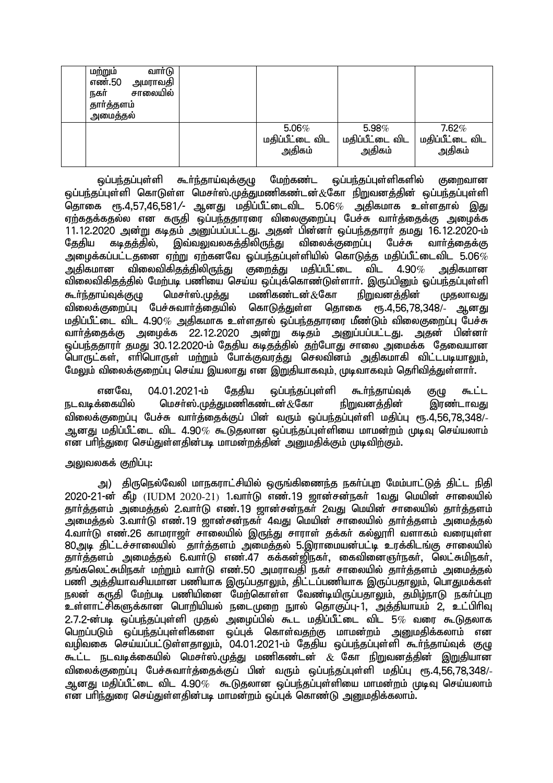| வாா்டு<br>மற்றும்<br>எண்.50<br>அமராவதி<br>சாலையில்<br>நகர்<br>தார்த்தளம்<br>அமைத்தல் |                 |                 |                 |
|--------------------------------------------------------------------------------------|-----------------|-----------------|-----------------|
|                                                                                      | $5.06\%$        | 5.98%           | $7.62\%$        |
|                                                                                      | மதிப்பீட்டை விட | மதிப்பீட்டை விட | மதிப்பீட்டை விட |
|                                                                                      | அதிகம்          | அதிகம்          | அதிகம்          |

<u>ஒ</u>ப்பந்தப்புள்ளி கூர்ந்தாய்வுக்குமு மேற்கண்ட ஒப்பந்தப்புள்ளிகளில் குறைவான லப்பந்தப்புள்ளி கொடுள்ள மெசர்ஸ்.முக்குமணிகண்டன் $\&$ கோ நிறுவனக்கின் லப்பந்தப்புள்ளி தொகை ரூ.4,57,46,581/- ஆனது மதிப்பீட்டைவிட 5.06 $\%$  அதிகமாக உள்ளதால் இது ஏற்கதக்கதல்ல என கருதி ஒப்பந்ததாரரை விலைகுறைப்பு பேச்சு வார்த்தைக்கு அமைக்க 11.12.2020 அன்று கடிதம் அனுப்பப்பட்டது. அதன் பின்னா் ஒப்பந்ததாரா் தமது 16.12.2020-ம்<br>தேதிய கடிதத்தில், இவ்வலுவலகத்திலிருந்து விலைக்குறைப்பு பேச்சு வாா்த்தைக்கு தேதிய கடிதத்தில், இவ்வலுவலகத்திலிருந்து விலைக்குறைப்பு பேச்சு வார்த்தைக்கு அழைக்கப்பட்டதனை ஏற்று ஏற்கனவே ஒப்பந்தப்புள்ளியில் கொடுத்த மதிப்பீட்டைவிட 5.06 $\%$ அதிகமான விலைவிகிதத்திலிருந்து குறைத்து மதிப்பீட்டை விட 4.90 $\%$  அதிகமான ்.<br>விலைவிகிகக்கில் மேற்படி பணியை செய்ய ஒப்புக்கொண்டுள்ளாா். இருப்பினும் ஓப்பந்தப்புள்ளி கூர்ந்தாய்வுக்குழு மெசர்ஸ்.முத்து மணிகண்டன் $\&$ கோ நிறுவனத்தின் முதலாவது<br>விலைக்குறைப்பு பேச்சுவார்த்தையில் கொடுத்துள்ள தொகை ரூ.4.56.78.348/- ஆனது <u>விலைக்குறைப்பு பேச்சுவார்த்தையில் கொடுத்து</u>ள்ள தொகை மதிப்பீட்டை விட 4.90 $\%$  அதிகமாக உள்ளதால் ஒப்பந்ததாரரை மீண்டும் விலைகுறைப்பு பேச்சு வார்த்தைக்கு அழைக்க 22.12.2020 அன்று கடிதம் அனுப்பப்பட்டது. அதன் பின்னர் <u>ஓப்பந்த</u>தாரா் தமது 30.12.2020-ம் தேதிய கடிதத்தில் தற்போது சாலை அமைக்க தேவையான .<br>பொருட்கள், எரிபொருள் மற்றும் போக்குவரத்து செலவினம் அதிகமாகி விட்டபடியாலும், மேலும் விலைக்குறைப்பு செய்ய இயலாது என இறுகியாகவும், முடிவாகவும் தெரிவித்துள்ளார்.

எனவே, 04.01.2021-ம் தேதிய ஒப்பந்தப்புள்ளி கூர்ந்தாய்வுக் குழு கூட்ட<br>க்கையில் மெசர்ஸ்.முக்கமணிகண்டன்.&கோ நிறுவனக்கின் இாண்டாவகு நடவடிக்கையில் மெசர்ஸ்.முக்குமணிகண்டன் $\alpha$ கோ நிறுவனக்கின் இரண்டாவகு விலைக்குறைப்பு பேச்சு வார்த்தைக்குப் பின் வரும் ஒப்பந்தப்புள்ளி மதிப்பு ரூ.4,56,78,348/-ஆனது மதிப்பீட்டை விட 4.90 $\%$  கூடுதலான ஒப்பந்தப்புள்ளியை மாமன்றம் முடிவு செய்யலாம் என பரிந்துரை செய்துள்ளதின்படி மாமன்றத்தின் அறைகிிக்கும் முடிவிற்கும்.

## அலுவலகக் குறிப்பு:

அ) நிருநெல்வேலி மாநகராட்சியில் ஒருங்கிணைந்த நகர்ப்புற மேம்பாட்டுத் திட்ட நிதி 2020-21-d; fPo<!(IUDM 2020-21\*!1.thh;L vz;.19 [hd;rd;efh; 1tJ nkapd; rhiyapy; jhh;j;jsk; mikj;jy; 2.thh;L vz;.19 [hd;rd;efh; 2tJ nkapd; rhiyapy; jhh;j;jsk; அமைத்தல் 3.வார்டு எண்.19 ஜான்சன்நகர் 4வது மெயின் சாலையில் தார்த்தளம் அமைத்தல் 4.வார்டு எண்.26 காமராஜர் சாலையில் இருந்து சாராள் தக்கர் கல்லூரி வளாகம் வரையள்ள 80அடி திட்டச்சாலையில் தார்த்தளம் அமைத்தல் 5.இராமையன்பட்டி உரக்கிடங்கு சாலையில் தார்த்தளம் அமைத்தல் 6.வார்டு எண்.47 கக்கன்ஜிநகர், கைவினைஞர்நகர், லெட்சுமிநகர், ்தங்கலெட்சுமிநகர் மற்றும் வார்டு எண்.50 அமராவதி நகர் சாலையில் தார்த்தளம் அமைத்தல் பணி அத்தியாவசியமான பணியாக இருப்பதாலும், திட்டப்பணியாக இருப்பதாலும், பொதுமக்கள் நலன் கருதி மேற்படி பணியினை மேற்கொள்ள வேண்டியிருப்பதாலும், தமிழ்நாடு நகா்ப்புற உள்ளாட்சிகளுக்கான பொறியியல் நடைமுறை நூல் தொகுப்பு-1, அத்தியாயம் 2, உட்பிரிவு  $2.7.2$ -ன்படி ஒப்பந்தப்புள்ளி முதல் அழைப்பில் கூட மதிப்பீட்டை விட 5 $\%$  வரை கூடுதலாக பெறப்படும் ஒப்பந்தப்புள்ளிகளை ஒப்புக் கொள்வதற்கு மாமன்றம் அனுமதிக்கலாம் என வழிவகை செய்யப்பட்டுள்ளதாலும், 04.01.2021-ம் தேதிய ஒப்பந்தப்புள்ளி கூர்ந்தாய்வுக் குழு  $\tilde{\theta}_k$ ட்ட நடவடிக்கையில் மெசர்ஸ்.முக்கு மணிகண்டன்  $\&$  கோ நிறுவனக்கின் இறுகியான விலைக்குறைப்பு பேச்சுவார்க்கைக்குப் பின் வரும் ஒப்பந்தப்புள்ளி மகிப்பு ரூ.4.56.78.348/-ஆனது மகிப்பீட்டை விட 4.90 $\%$  கூடுகலான ஒப்பந்தப்புள்ளியை மாமன்றம் முடிவு செய்யலாம் என பரிந்துரை செய்துள்ளதின்படி மாமன்றம் ஒப்புக் கொண்டு அனுமதிக்கலாம்.